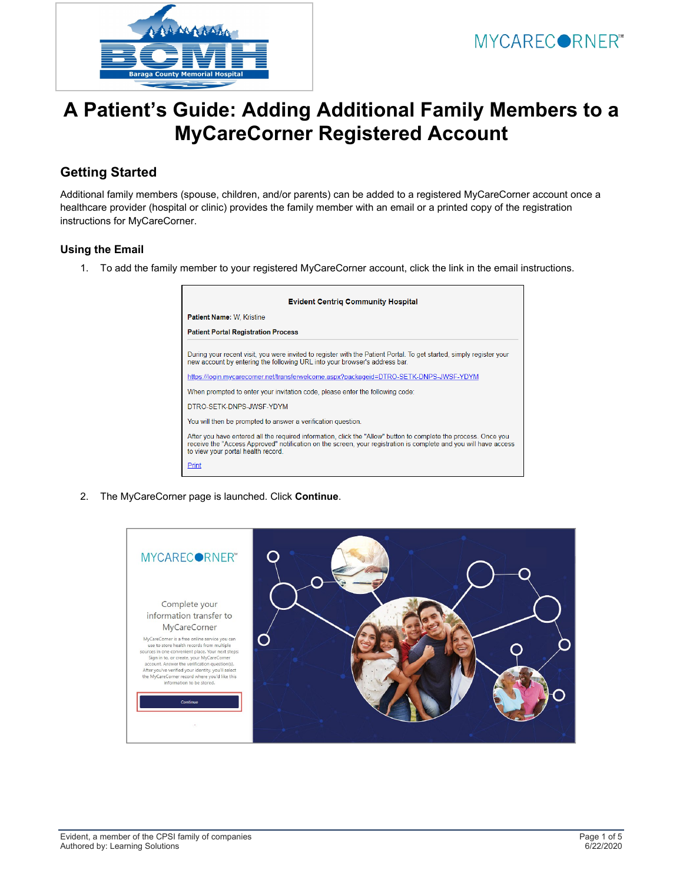

## **A Patient's Guide: Adding Additional Family Members to a MyCareCorner Registered Account**

## **Getting Started**

Additional family members (spouse, children, and/or parents) can be added to a registered MyCareCorner account once a healthcare provider (hospital or clinic) provides the family member with an email or a printed copy of the registration instructions for MyCareCorner.

## **Using the Email**

1. To add the family member to your registered MyCareCorner account, click the link in the email instructions.



2. The MyCareCorner page is launched. Click **Continue**.

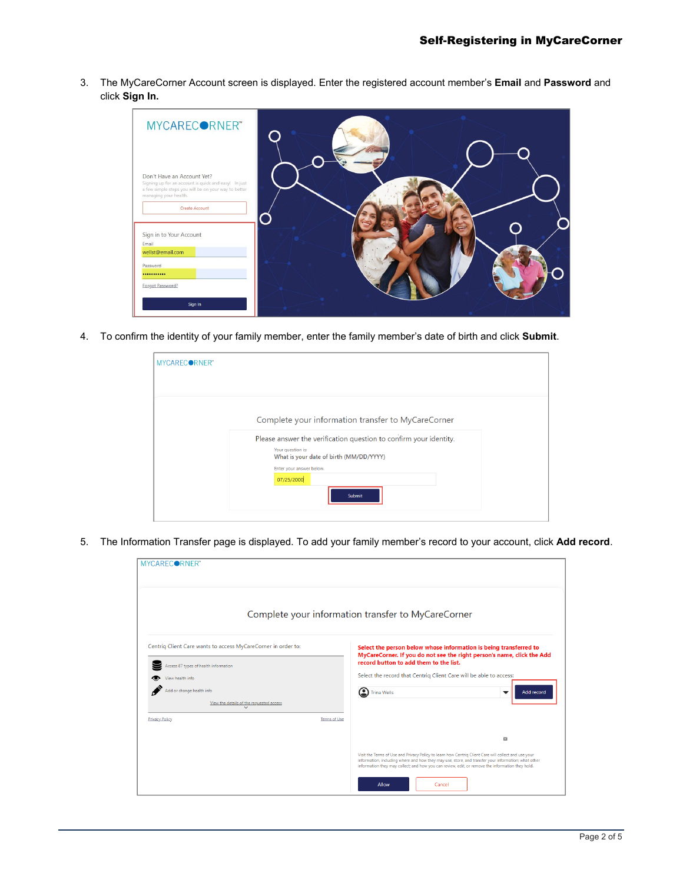3. The MyCareCorner Account screen is displayed. Enter the registered account member's **Email** and **Password** and click **Sign In.** 



4. To confirm the identity of your family member, enter the family member's date of birth and click **Submit**.

| MYCARECORNER" |                                                                                                                                   |
|---------------|-----------------------------------------------------------------------------------------------------------------------------------|
|               |                                                                                                                                   |
|               | Complete your information transfer to MyCareCorner                                                                                |
|               | Please answer the verification question to confirm your identity.<br>Your question is:<br>What is your date of birth (MM/DD/YYYY) |
|               | Enter your answer below.<br>07/25/2000                                                                                            |
|               | Submit                                                                                                                            |

5. The Information Transfer page is displayed. To add your family member's record to your account, click **Add record**.

| MYCARECORNER"                                                                                          |                                                                                                                                                                                                                                                                                                                 |  |  |  |  |  |
|--------------------------------------------------------------------------------------------------------|-----------------------------------------------------------------------------------------------------------------------------------------------------------------------------------------------------------------------------------------------------------------------------------------------------------------|--|--|--|--|--|
| Complete your information transfer to MyCareCorner                                                     |                                                                                                                                                                                                                                                                                                                 |  |  |  |  |  |
| Centriq Client Care wants to access MyCareCorner in order to:<br>Access 87 types of health information | Select the person below whose information is being transferred to<br>MyCareCorner. If you do not see the right person's name, click the Add<br>record button to add them to the list.                                                                                                                           |  |  |  |  |  |
| View health info                                                                                       | Select the record that Centrig Client Care will be able to access:                                                                                                                                                                                                                                              |  |  |  |  |  |
| Add or change health info                                                                              | nina Wells<br>Add record<br>$\overline{\phantom{a}}$                                                                                                                                                                                                                                                            |  |  |  |  |  |
| View the details of the requested access                                                               |                                                                                                                                                                                                                                                                                                                 |  |  |  |  |  |
| <b>Privacy Policy</b>                                                                                  | Terms of Use                                                                                                                                                                                                                                                                                                    |  |  |  |  |  |
|                                                                                                        | п                                                                                                                                                                                                                                                                                                               |  |  |  |  |  |
|                                                                                                        | Visit the Terms of Use and Privacy Policy to learn how Centriq Client Care will collect and use your<br>information, including where and how they may use, store, and transfer your information; what other<br>information they may collect; and how you can review, edit, or remove the information they hold. |  |  |  |  |  |
|                                                                                                        | Allow<br>Cancel                                                                                                                                                                                                                                                                                                 |  |  |  |  |  |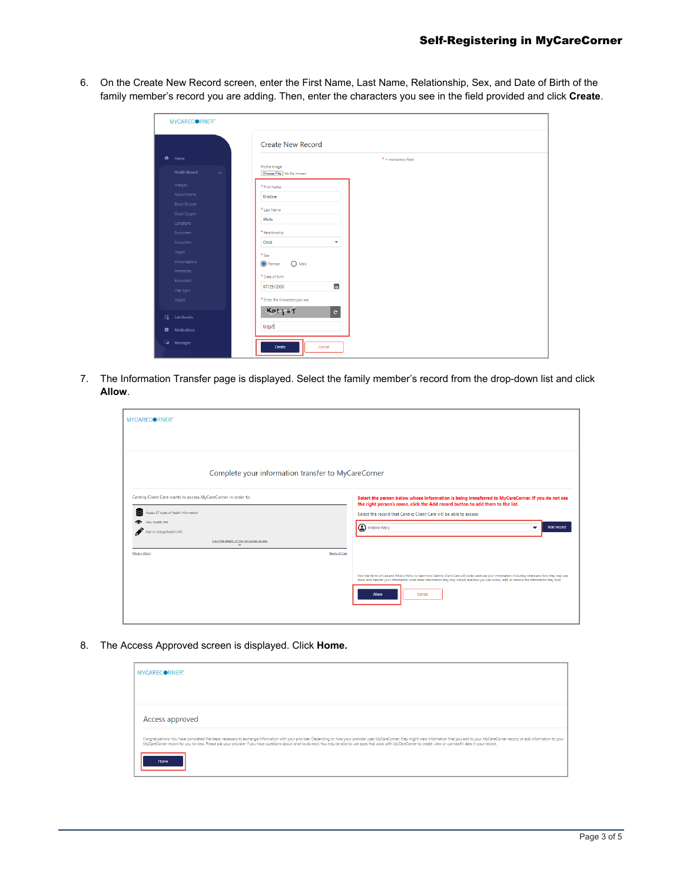6. On the Create New Record screen, enter the First Name, Last Name, Relationship, Sex, and Date of Birth of the family member's record you are adding. Then, enter the characters you see in the field provided and click **Create**.

| MYCAREC●RNER™                               |                                             |
|---------------------------------------------|---------------------------------------------|
|                                             | <b>Create New Record</b>                    |
| ft Home                                     | $*$ = mandatory field                       |
| <b>Health Record</b><br>$\sim$              | Profile Image<br>Choose File No file chosen |
| Allergies                                   | * First Name                                |
| <b>Appointments</b><br><b>Blood Glucose</b> | Kristine                                    |
| Blood Oxygen                                | * Last Name                                 |
| Conditions                                  | Wells                                       |
| <b>Encounters</b>                           | * Relationship                              |
| Encounters                                  | Child<br>$\checkmark$                       |
| Height                                      | $*_{\texttt{Sex}}$                          |
| Immunizations                               | <b>O</b> Female<br>$\bigcap$ Male           |
| Procedures                                  | * Date of Birth                             |
| Encounters                                  | ▦<br>07/25/2000                             |
| Vital Signs                                 |                                             |
| Weight                                      | * Enter the characters you see              |
| <b>EL</b> Lab Results                       | Kntjst<br>$\mathbf{c}$                      |
| <b>D</b> Medications                        | KntjsT                                      |
| <b>A</b> Messages                           | Create<br>Cancel                            |
|                                             |                                             |

7. The Information Transfer page is displayed. Select the family member's record from the drop-down list and click **Allow**.

| MYCARECORNER"                                                                                                                                                                                                                                                            |                                                                                                                                                                                                                                                                                                                                                                                                                                                                                                                                                                                                                                  |  |  |  |  |
|--------------------------------------------------------------------------------------------------------------------------------------------------------------------------------------------------------------------------------------------------------------------------|----------------------------------------------------------------------------------------------------------------------------------------------------------------------------------------------------------------------------------------------------------------------------------------------------------------------------------------------------------------------------------------------------------------------------------------------------------------------------------------------------------------------------------------------------------------------------------------------------------------------------------|--|--|--|--|
| Complete your information transfer to MyCareCorner                                                                                                                                                                                                                       |                                                                                                                                                                                                                                                                                                                                                                                                                                                                                                                                                                                                                                  |  |  |  |  |
| Centriq Client Care wants to access MyCareCorner in order to:<br>⋓<br>Access 87 types of health information<br>View health info<br>or change health info<br>View the details of the requested access<br>$\overline{\mathsf{v}}$<br><b>Privacy Policy</b><br>Terms of Use | Select the person below whose information is being transferred to MyCareCorner. If you do not see<br>the right person's name, click the Add record button to add them to the list.<br>Select the record that Centriq Client Care will be able to access:<br>Kristine Wells<br>Add record<br>▼<br>Visit the Terms of Use and Privacy Policy to learn how Centriq Client Care will collect and use your information, including where and how they may use,<br>store, and transfer your information; what other information they may collect; and how you can review, edit; or remove the information they hold.<br>Allow<br>Cancel |  |  |  |  |

8. The Access Approved screen is displayed. Click **Home.**

| MYCARECORNER"                                                                                                                                                                                                                                                                                                                                                                                                                                                   |
|-----------------------------------------------------------------------------------------------------------------------------------------------------------------------------------------------------------------------------------------------------------------------------------------------------------------------------------------------------------------------------------------------------------------------------------------------------------------|
|                                                                                                                                                                                                                                                                                                                                                                                                                                                                 |
| Access approved                                                                                                                                                                                                                                                                                                                                                                                                                                                 |
| Congratulations! You have completed the steps necessary to exchange information with your provider. Depending on how your provider uses MyCareComer, they might view information that you add to your MyCareComer record, or a<br>MyCareCorner record for you to view. Please ask your provider if you have questions about what to do next. You may be able to use apps that work with MyCareCorner to create, view or use health data in your record.<br>Home |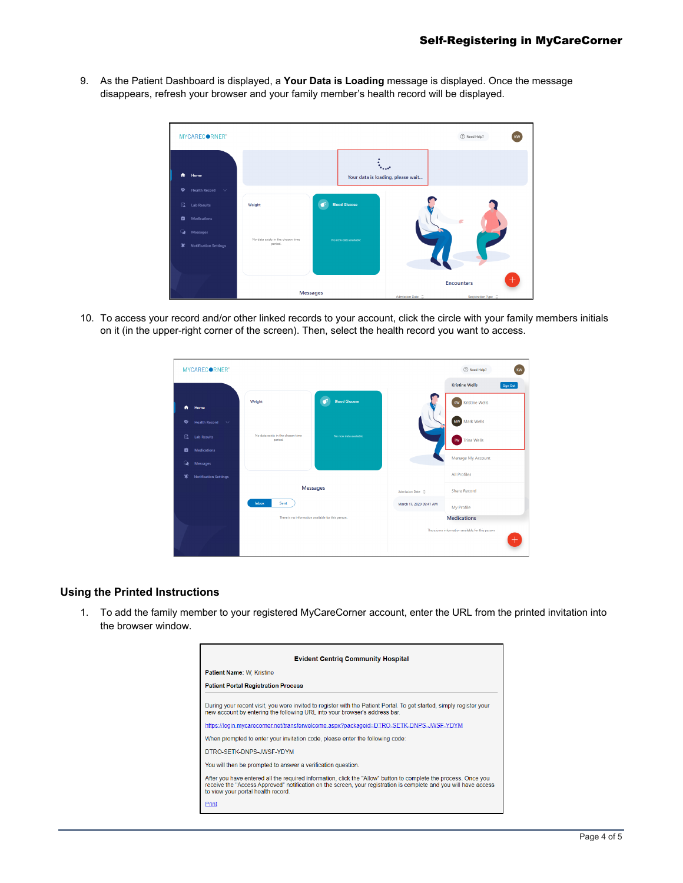9. As the Patient Dashboard is displayed, a **Your Data is Loading** message is displayed. Once the message disappears, refresh your browser and your family member's health record will be displayed.



10. To access your record and/or other linked records to your account, click the circle with your family members initials on it (in the upper-right corner of the screen). Then, select the health record you want to access.



## **Using the Printed Instructions**

1. To add the family member to your registered MyCareCorner account, enter the URL from the printed invitation into the browser window.

| <b>Evident Centrig Community Hospital</b>                                                                                                                                                                                                                                 |
|---------------------------------------------------------------------------------------------------------------------------------------------------------------------------------------------------------------------------------------------------------------------------|
| <b>Patient Name: W. Kristine</b>                                                                                                                                                                                                                                          |
| <b>Patient Portal Registration Process</b>                                                                                                                                                                                                                                |
| During your recent visit, you were invited to register with the Patient Portal. To get started, simply register your<br>new account by entering the following URL into your browser's address bar.                                                                        |
| https://login.mycarecorner.net/transferwelcome.aspx?packageid=DTRO-SETK-DNPS-JWSF-YDYM                                                                                                                                                                                    |
| When prompted to enter your invitation code, please enter the following code:                                                                                                                                                                                             |
| DTRO-SETK-DNPS-JWSF-YDYM                                                                                                                                                                                                                                                  |
| You will then be prompted to answer a verification question.                                                                                                                                                                                                              |
| After you have entered all the required information, click the "Allow" button to complete the process. Once you<br>receive the "Access Approved" notification on the screen, your registration is complete and you will have access<br>to view your portal health record. |
| Print                                                                                                                                                                                                                                                                     |